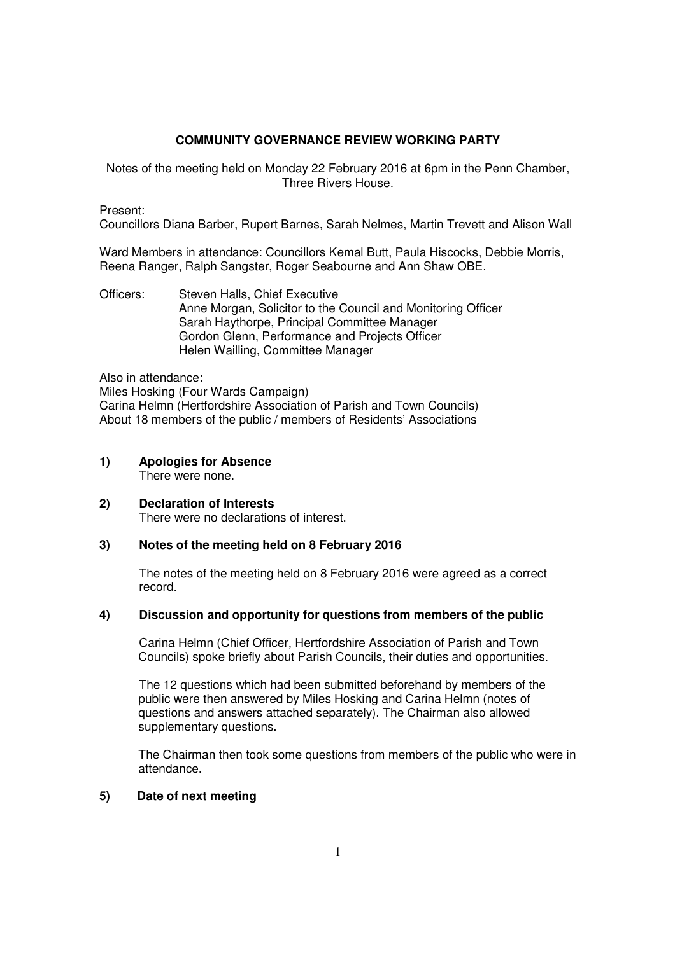## **COMMUNITY GOVERNANCE REVIEW WORKING PARTY**

Notes of the meeting held on Monday 22 February 2016 at 6pm in the Penn Chamber, Three Rivers House.

Present:

Councillors Diana Barber, Rupert Barnes, Sarah Nelmes, Martin Trevett and Alison Wall

Ward Members in attendance: Councillors Kemal Butt, Paula Hiscocks, Debbie Morris, Reena Ranger, Ralph Sangster, Roger Seabourne and Ann Shaw OBE.

Officers: Steven Halls, Chief Executive Anne Morgan, Solicitor to the Council and Monitoring Officer Sarah Haythorpe, Principal Committee Manager Gordon Glenn, Performance and Projects Officer Helen Wailling, Committee Manager

Also in attendance:

Miles Hosking (Four Wards Campaign) Carina Helmn (Hertfordshire Association of Parish and Town Councils) About 18 members of the public / members of Residents' Associations

- **1) Apologies for Absence**  There were none.
- **2) Declaration of Interests** There were no declarations of interest.

## **3) Notes of the meeting held on 8 February 2016**

The notes of the meeting held on 8 February 2016 were agreed as a correct record.

## **4) Discussion and opportunity for questions from members of the public**

Carina Helmn (Chief Officer, Hertfordshire Association of Parish and Town Councils) spoke briefly about Parish Councils, their duties and opportunities.

 The 12 questions which had been submitted beforehand by members of the public were then answered by Miles Hosking and Carina Helmn (notes of questions and answers attached separately). The Chairman also allowed supplementary questions.

The Chairman then took some questions from members of the public who were in attendance.

## **5) Date of next meeting**